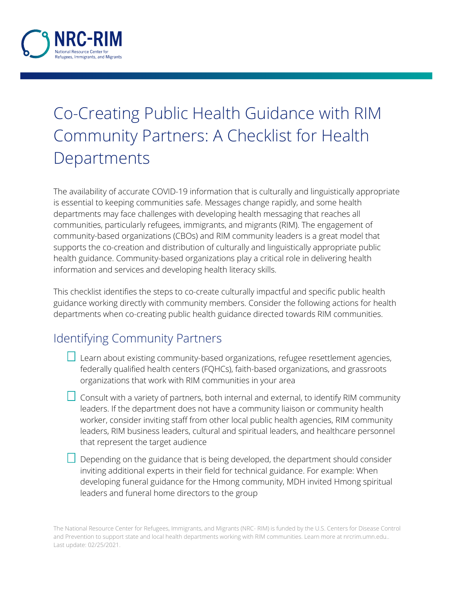

## Co-Creating Public Health Guidance with RIM Community Partners: A Checklist for Health Departments

The availability of accurate COVID-19 information that is culturally and linguistically appropriate is essential to keeping communities safe. Messages change rapidly, and some health departments may face challenges with developing health messaging that reaches all communities, particularly refugees, immigrants, and migrants (RIM). The engagement of community-based organizations (CBOs) and RIM community leaders is a great model that supports the co-creation and distribution of culturally and linguistically appropriate public health guidance. Community-based organizations play a critical role in delivering health information and services and developing health literacy skills.

This checklist identifies the steps to co-create culturally impactful and specific public health guidance working directly with community members. Consider the following actions for health departments when co-creating public health guidance directed towards RIM communities.

## Identifying Community Partners

- $\Box$  Learn about existing community-based organizations, refugee resettlement agencies, federally qualified health centers (FQHCs), faith-based organizations, and grassroots organizations that work with RIM communities in your area
- $\Box$  Consult with a variety of partners, both internal and external, to identify RIM community leaders. If the department does not have a community liaison or community health worker, consider inviting staff from other local public health agencies, RIM community leaders, RIM business leaders, cultural and spiritual leaders, and healthcare personnel that represent the target audience
- $\Box$  Depending on the guidance that is being developed, the department should consider inviting additional experts in their field for technical guidance. For example: When developing funeral guidance for the Hmong community, MDH invited Hmong spiritual leaders and funeral home directors to the group

The National Resource Center for Refugees, Immigrants, and Migrants (NRC- RIM) is funded by the U.S. Centers for Disease Control and Prevention to support state and local health departments working with RIM communities. Learn more at nrcrim.umn.edu.. Last update: 02/25/2021.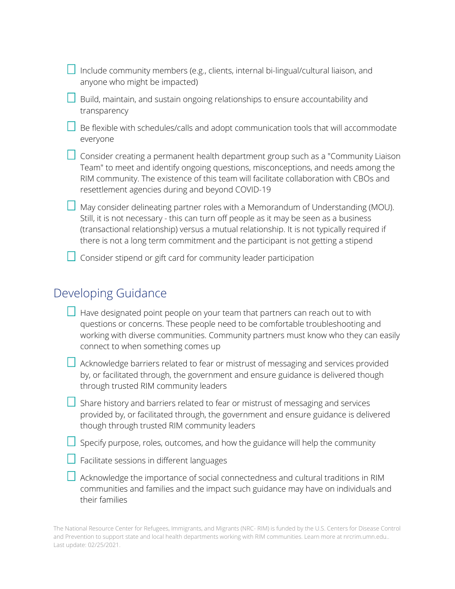| $\Box$ Include community members (e.g., clients, internal bi-lingual/cultural liaison, and |  |
|--------------------------------------------------------------------------------------------|--|
| anyone who might be impacted)                                                              |  |

 $\Box$  Build, maintain, and sustain ongoing relationships to ensure accountability and transparency

 $\Box$  Be flexible with schedules/calls and adopt communication tools that will accommodate everyone

| Consider o |
|------------|
| Team" to r |
| RIM comm   |

creating a permanent health department group such as a "Community Liaison meet and identify ongoing questions, misconceptions, and needs among the RIM community. The existence of this team will facilitate collaboration with CBOs and resettlement agencies during and beyond COVID-19

 $\Box$  May consider delineating partner roles with a Memorandum of Understanding (MOU). Still, it is not necessary - this can turn off people as it may be seen as a business (transactional relationship) versus a mutual relationship. It is not typically required if there is not a long term commitment and the participant is not getting a stipend

 $\Box$  Consider stipend or gift card for community leader participation

## Developing Guidance

| $\Box$ Have designated point people on your team that partners can reach out to with |
|--------------------------------------------------------------------------------------|
| questions or concerns. These people need to be comfortable troubleshooting and       |
| working with diverse communities. Community partners must know who they can easily   |
| connect to when something comes up                                                   |

 $\Box$  Acknowledge barriers related to fear or mistrust of messaging and services provided by, or facilitated through, the government and ensure guidance is delivered though through trusted RIM community leaders

 $\Box$  Share history and barriers related to fear or mistrust of messaging and services provided by, or facilitated through, the government and ensure guidance is delivered though through trusted RIM community leaders

 $\Box$  Specify purpose, roles, outcomes, and how the guidance will help the community

|  |  |  | $\Box$ Facilitate sessions in different languages |
|--|--|--|---------------------------------------------------|
|  |  |  |                                                   |

 $\Box$  Acknowledge the importance of social connectedness and cultural traditions in RIM communities and families and the impact such guidance may have on individuals and their families

The National Resource Center for Refugees, Immigrants, and Migrants (NRC- RIM) is funded by the U.S. Centers for Disease Control and Prevention to support state and local health departments working with RIM communities. Learn more at nrcrim.umn.edu.. Last update: 02/25/2021.